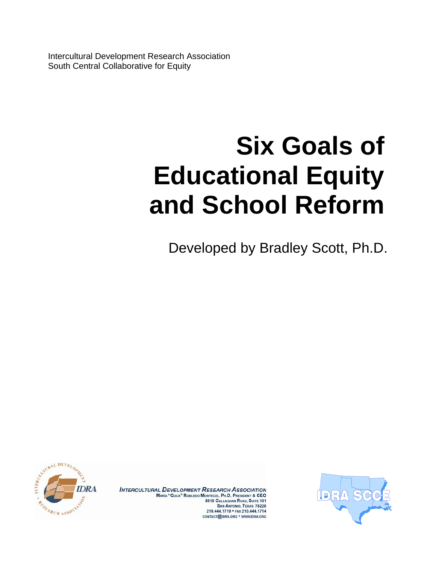Intercultural Development Research Association South Central Collaborative for Equity

## **Six Goals of Educational Equity and School Reform**

Developed by Bradley Scott, Ph.D.



INTERCULTURAL DEVELOPMENT RESEARCH ASSOCIATION<br>Maria "Cuca" Robledo Montecel, Ph.D., President & CEO<br>5815 Callaghan Road, Suite 101 **SAN ANTONIO, TEXAS 78228** 210.444.1710 · FAX 210.444.1714 **CONTACT@IDRA.ORG . WWW.IDRA.ORG** 

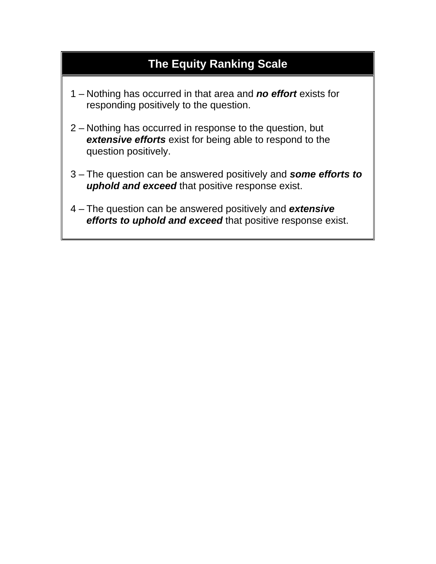## **The Equity Ranking Scale**

- 1 Nothing has occurred in that area and *no effort* exists for responding positively to the question.
- 2 Nothing has occurred in response to the question, but *extensive efforts* exist for being able to respond to the question positively.
- 3 The question can be answered positively and *some efforts to uphold and exceed* that positive response exist.
- 4 The question can be answered positively and *extensive efforts to uphold and exceed* that positive response exist.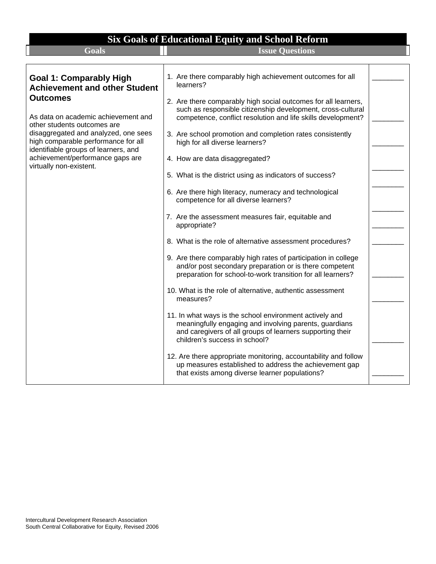| <b>Six Goals of Educational Equity and School Reform</b>                                                                                                             |                                                                                                                                                                                                                                                                                              |  |
|----------------------------------------------------------------------------------------------------------------------------------------------------------------------|----------------------------------------------------------------------------------------------------------------------------------------------------------------------------------------------------------------------------------------------------------------------------------------------|--|
| <b>Goals</b>                                                                                                                                                         | <b>Issue Questions</b>                                                                                                                                                                                                                                                                       |  |
|                                                                                                                                                                      |                                                                                                                                                                                                                                                                                              |  |
| <b>Goal 1: Comparably High</b><br><b>Achievement and other Student</b>                                                                                               | 1. Are there comparably high achievement outcomes for all<br>learners?                                                                                                                                                                                                                       |  |
| <b>Outcomes</b><br>As data on academic achievement and<br>other students outcomes are<br>disaggregated and analyzed, one sees<br>high comparable performance for all | 2. Are there comparably high social outcomes for all learners,<br>such as responsible citizenship development, cross-cultural<br>competence, conflict resolution and life skills development?<br>3. Are school promotion and completion rates consistently<br>high for all diverse learners? |  |
| identifiable groups of learners, and<br>achievement/performance gaps are<br>virtually non-existent.                                                                  | 4. How are data disaggregated?<br>5. What is the district using as indicators of success?                                                                                                                                                                                                    |  |
|                                                                                                                                                                      | 6. Are there high literacy, numeracy and technological<br>competence for all diverse learners?                                                                                                                                                                                               |  |
|                                                                                                                                                                      | 7. Are the assessment measures fair, equitable and<br>appropriate?                                                                                                                                                                                                                           |  |
|                                                                                                                                                                      | 8. What is the role of alternative assessment procedures?                                                                                                                                                                                                                                    |  |
|                                                                                                                                                                      | 9. Are there comparably high rates of participation in college<br>and/or post secondary preparation or is there competent<br>preparation for school-to-work transition for all learners?                                                                                                     |  |
|                                                                                                                                                                      | 10. What is the role of alternative, authentic assessment<br>measures?                                                                                                                                                                                                                       |  |
|                                                                                                                                                                      | 11. In what ways is the school environment actively and<br>meaningfully engaging and involving parents, guardians<br>and caregivers of all groups of learners supporting their<br>children's success in school?                                                                              |  |
|                                                                                                                                                                      | 12. Are there appropriate monitoring, accountability and follow<br>up measures established to address the achievement gap<br>that exists among diverse learner populations?                                                                                                                  |  |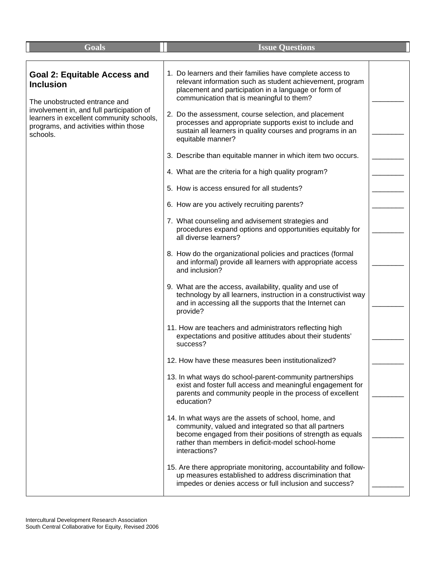| Goals                                                                                                                                                                                                                                  | <b>Issue Questions</b>                                                                                                                                                                                                                                                                                                                                                                                                                                                                                                                                                                                                                                                                                                                                                                                                                                                                                                                                                                                                                                          |  |
|----------------------------------------------------------------------------------------------------------------------------------------------------------------------------------------------------------------------------------------|-----------------------------------------------------------------------------------------------------------------------------------------------------------------------------------------------------------------------------------------------------------------------------------------------------------------------------------------------------------------------------------------------------------------------------------------------------------------------------------------------------------------------------------------------------------------------------------------------------------------------------------------------------------------------------------------------------------------------------------------------------------------------------------------------------------------------------------------------------------------------------------------------------------------------------------------------------------------------------------------------------------------------------------------------------------------|--|
| <b>Goal 2: Equitable Access and</b><br><b>Inclusion</b><br>The unobstructed entrance and<br>involvement in, and full participation of<br>learners in excellent community schools,<br>programs, and activities within those<br>schools. | 1. Do learners and their families have complete access to<br>relevant information such as student achievement, program<br>placement and participation in a language or form of<br>communication that is meaningful to them?<br>2. Do the assessment, course selection, and placement<br>processes and appropriate supports exist to include and<br>sustain all learners in quality courses and programs in an<br>equitable manner?<br>3. Describe than equitable manner in which item two occurs.<br>4. What are the criteria for a high quality program?<br>5. How is access ensured for all students?<br>6. How are you actively recruiting parents?<br>7. What counseling and advisement strategies and<br>procedures expand options and opportunities equitably for<br>all diverse learners?<br>8. How do the organizational policies and practices (formal<br>and informal) provide all learners with appropriate access                                                                                                                                   |  |
|                                                                                                                                                                                                                                        | and inclusion?<br>9. What are the access, availability, quality and use of<br>technology by all learners, instruction in a constructivist way<br>and in accessing all the supports that the Internet can<br>provide?<br>11. How are teachers and administrators reflecting high<br>expectations and positive attitudes about their students'<br>success?<br>12. How have these measures been institutionalized?<br>13. In what ways do school-parent-community partnerships<br>exist and foster full access and meaningful engagement for<br>parents and community people in the process of excellent<br>education?<br>14. In what ways are the assets of school, home, and<br>community, valued and integrated so that all partners<br>become engaged from their positions of strength as equals<br>rather than members in deficit-model school-home<br>interactions?<br>15. Are there appropriate monitoring, accountability and follow-<br>up measures established to address discrimination that<br>impedes or denies access or full inclusion and success? |  |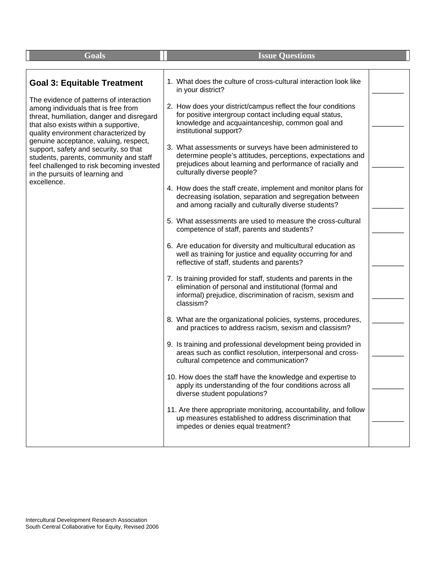| <b>Goals</b>                                                                                                                                                                                                                                                                                                                                                                                                                                                                  | <b>Issue Questions</b>                                                                                                                                                                                                                                                                                                                                                                                                                                                                                                                                                                                                                                                                                                                                                                                                                                                                                                                                                                                                                                                                                                                                                                                                                                                                                                                                                                                                                                                                                                                                                                                                                                                                                                                                                                                                                    |  |
|-------------------------------------------------------------------------------------------------------------------------------------------------------------------------------------------------------------------------------------------------------------------------------------------------------------------------------------------------------------------------------------------------------------------------------------------------------------------------------|-------------------------------------------------------------------------------------------------------------------------------------------------------------------------------------------------------------------------------------------------------------------------------------------------------------------------------------------------------------------------------------------------------------------------------------------------------------------------------------------------------------------------------------------------------------------------------------------------------------------------------------------------------------------------------------------------------------------------------------------------------------------------------------------------------------------------------------------------------------------------------------------------------------------------------------------------------------------------------------------------------------------------------------------------------------------------------------------------------------------------------------------------------------------------------------------------------------------------------------------------------------------------------------------------------------------------------------------------------------------------------------------------------------------------------------------------------------------------------------------------------------------------------------------------------------------------------------------------------------------------------------------------------------------------------------------------------------------------------------------------------------------------------------------------------------------------------------------|--|
| <b>Goal 3: Equitable Treatment</b><br>The evidence of patterns of interaction<br>among individuals that is free from<br>threat, humiliation, danger and disregard<br>that also exists within a supportive,<br>quality environment characterized by<br>genuine acceptance, valuing, respect,<br>support, safety and security, so that<br>students, parents, community and staff<br>feel challenged to risk becoming invested<br>in the pursuits of learning and<br>excellence. | 1. What does the culture of cross-cultural interaction look like<br>in your district?<br>2. How does your district/campus reflect the four conditions<br>for positive intergroup contact including equal status,<br>knowledge and acquaintanceship, common goal and<br>institutional support?<br>3. What assessments or surveys have been administered to<br>determine people's attitudes, perceptions, expectations and<br>prejudices about learning and performance of racially and<br>culturally diverse people?<br>4. How does the staff create, implement and monitor plans for<br>decreasing isolation, separation and segregation between<br>and among racially and culturally diverse students?<br>5. What assessments are used to measure the cross-cultural<br>competence of staff, parents and students?<br>6. Are education for diversity and multicultural education as<br>well as training for justice and equality occurring for and<br>reflective of staff, students and parents?<br>7. Is training provided for staff, students and parents in the<br>elimination of personal and institutional (formal and<br>informal) prejudice, discrimination of racism, sexism and<br>classism?<br>8. What are the organizational policies, systems, procedures,<br>and practices to address racism, sexism and classism?<br>9. Is training and professional development being provided in<br>areas such as conflict resolution, interpersonal and cross-<br>cultural competence and communication?<br>10. How does the staff have the knowledge and expertise to<br>apply its understanding of the four conditions across all<br>diverse student populations?<br>11. Are there appropriate monitoring, accountability, and follow<br>up measures established to address discrimination that<br>impedes or denies equal treatment? |  |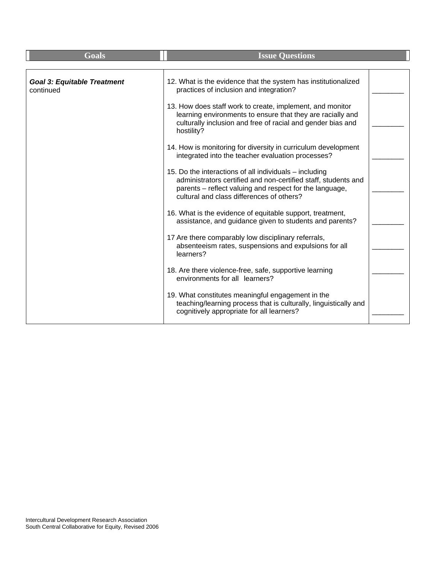| <b>Goals</b>                                    | <b>Issue Questions</b>                                                                                                                                                                                                           |  |
|-------------------------------------------------|----------------------------------------------------------------------------------------------------------------------------------------------------------------------------------------------------------------------------------|--|
|                                                 |                                                                                                                                                                                                                                  |  |
| <b>Goal 3: Equitable Treatment</b><br>continued | 12. What is the evidence that the system has institutionalized<br>practices of inclusion and integration?                                                                                                                        |  |
|                                                 | 13. How does staff work to create, implement, and monitor<br>learning environments to ensure that they are racially and<br>culturally inclusion and free of racial and gender bias and<br>hostility?                             |  |
|                                                 | 14. How is monitoring for diversity in curriculum development<br>integrated into the teacher evaluation processes?                                                                                                               |  |
|                                                 | 15. Do the interactions of all individuals - including<br>administrators certified and non-certified staff, students and<br>parents – reflect valuing and respect for the language,<br>cultural and class differences of others? |  |
|                                                 | 16. What is the evidence of equitable support, treatment,<br>assistance, and guidance given to students and parents?                                                                                                             |  |
|                                                 | 17 Are there comparably low disciplinary referrals,<br>absenteeism rates, suspensions and expulsions for all<br>learners?                                                                                                        |  |
|                                                 | 18. Are there violence-free, safe, supportive learning<br>environments for all learners?                                                                                                                                         |  |
|                                                 | 19. What constitutes meaningful engagement in the<br>teaching/learning process that is culturally, linguistically and<br>cognitively appropriate for all learners?                                                               |  |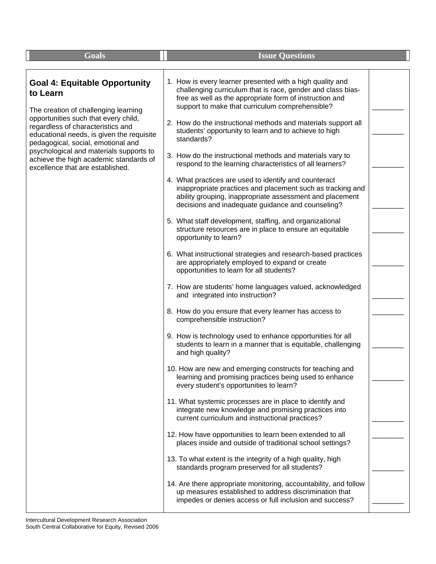| <b>Goals</b>                                                                                                                                                                                                                                                                                                                                                                      | <b>Issue Questions</b>                                                                                                                                                                                                                                                                                                                                                                                                                                                                                                                                                                                                                                                                                                                                                                                                                                                                                                                                                                                                                                                                                                                                                                                                                                                                                                                                                                                                                                                                                                                                                                                                                                                                                                                                                                                                                                                                                                                                                                                                                                                                                                                                                             |  |
|-----------------------------------------------------------------------------------------------------------------------------------------------------------------------------------------------------------------------------------------------------------------------------------------------------------------------------------------------------------------------------------|------------------------------------------------------------------------------------------------------------------------------------------------------------------------------------------------------------------------------------------------------------------------------------------------------------------------------------------------------------------------------------------------------------------------------------------------------------------------------------------------------------------------------------------------------------------------------------------------------------------------------------------------------------------------------------------------------------------------------------------------------------------------------------------------------------------------------------------------------------------------------------------------------------------------------------------------------------------------------------------------------------------------------------------------------------------------------------------------------------------------------------------------------------------------------------------------------------------------------------------------------------------------------------------------------------------------------------------------------------------------------------------------------------------------------------------------------------------------------------------------------------------------------------------------------------------------------------------------------------------------------------------------------------------------------------------------------------------------------------------------------------------------------------------------------------------------------------------------------------------------------------------------------------------------------------------------------------------------------------------------------------------------------------------------------------------------------------------------------------------------------------------------------------------------------------|--|
| <b>Goal 4: Equitable Opportunity</b><br>to Learn<br>The creation of challenging learning<br>opportunities such that every child,<br>regardless of characteristics and<br>educational needs, is given the requisite<br>pedagogical, social, emotional and<br>psychological and materials supports to<br>achieve the high academic standards of<br>excellence that are established. | 1. How is every learner presented with a high quality and<br>challenging curriculum that is race, gender and class bias-<br>free as well as the appropriate form of instruction and<br>support to make that curriculum comprehensible?<br>2. How do the instructional methods and materials support all<br>students' opportunity to learn and to achieve to high<br>standards?<br>3. How do the instructional methods and materials vary to<br>respond to the learning characteristics of all learners?<br>4. What practices are used to identify and counteract<br>inappropriate practices and placement such as tracking and<br>ability grouping, inappropriate assessment and placement<br>decisions and inadequate guidance and counseling?<br>5. What staff development, staffing, and organizational<br>structure resources are in place to ensure an equitable<br>opportunity to learn?<br>6. What instructional strategies and research-based practices<br>are appropriately employed to expand or create<br>opportunities to learn for all students?<br>7. How are students' home languages valued, acknowledged<br>and integrated into instruction?<br>8. How do you ensure that every learner has access to<br>comprehensible instruction?<br>9. How is technology used to enhance opportunities for all<br>students to learn in a manner that is equitable, challenging<br>and high quality?<br>10. How are new and emerging constructs for teaching and<br>learning and promising practices being used to enhance<br>every student's opportunities to learn?<br>11. What systemic processes are in place to identify and<br>integrate new knowledge and promising practices into<br>current curriculum and instructional practices?<br>12. How have opportunities to learn been extended to all<br>places inside and outside of traditional school settings?<br>13. To what extent is the integrity of a high quality, high<br>standards program preserved for all students?<br>14. Are there appropriate monitoring, accountability, and follow<br>up measures established to address discrimination that<br>impedes or denies access or full inclusion and success? |  |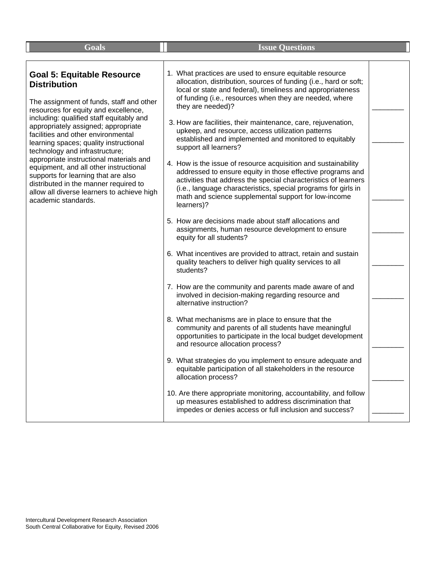| <b>Goals</b>                                                                                                                                                                                                                                                                                                                                                                                                                                                                                                                                                                                | <b>Issue Ouestions</b>                                                                                                                                                                                                                                                                                                                  |  |
|---------------------------------------------------------------------------------------------------------------------------------------------------------------------------------------------------------------------------------------------------------------------------------------------------------------------------------------------------------------------------------------------------------------------------------------------------------------------------------------------------------------------------------------------------------------------------------------------|-----------------------------------------------------------------------------------------------------------------------------------------------------------------------------------------------------------------------------------------------------------------------------------------------------------------------------------------|--|
|                                                                                                                                                                                                                                                                                                                                                                                                                                                                                                                                                                                             |                                                                                                                                                                                                                                                                                                                                         |  |
| <b>Goal 5: Equitable Resource</b><br><b>Distribution</b><br>The assignment of funds, staff and other<br>resources for equity and excellence,<br>including: qualified staff equitably and<br>appropriately assigned; appropriate<br>facilities and other environmental<br>learning spaces; quality instructional<br>technology and infrastructure;<br>appropriate instructional materials and<br>equipment, and all other instructional<br>supports for learning that are also<br>distributed in the manner required to<br>allow all diverse learners to achieve high<br>academic standards. | 1. What practices are used to ensure equitable resource<br>allocation, distribution, sources of funding (i.e., hard or soft;<br>local or state and federal), timeliness and appropriateness<br>of funding (i.e., resources when they are needed, where<br>they are needed)?                                                             |  |
|                                                                                                                                                                                                                                                                                                                                                                                                                                                                                                                                                                                             | 3. How are facilities, their maintenance, care, rejuvenation,<br>upkeep, and resource, access utilization patterns<br>established and implemented and monitored to equitably<br>support all learners?                                                                                                                                   |  |
|                                                                                                                                                                                                                                                                                                                                                                                                                                                                                                                                                                                             | 4. How is the issue of resource acquisition and sustainability<br>addressed to ensure equity in those effective programs and<br>activities that address the special characteristics of learners<br>(i.e., language characteristics, special programs for girls in<br>math and science supplemental support for low-income<br>learners)? |  |
|                                                                                                                                                                                                                                                                                                                                                                                                                                                                                                                                                                                             | 5. How are decisions made about staff allocations and<br>assignments, human resource development to ensure<br>equity for all students?                                                                                                                                                                                                  |  |
|                                                                                                                                                                                                                                                                                                                                                                                                                                                                                                                                                                                             | 6. What incentives are provided to attract, retain and sustain<br>quality teachers to deliver high quality services to all<br>students?                                                                                                                                                                                                 |  |
|                                                                                                                                                                                                                                                                                                                                                                                                                                                                                                                                                                                             | 7. How are the community and parents made aware of and<br>involved in decision-making regarding resource and<br>alternative instruction?                                                                                                                                                                                                |  |
|                                                                                                                                                                                                                                                                                                                                                                                                                                                                                                                                                                                             | 8. What mechanisms are in place to ensure that the<br>community and parents of all students have meaningful<br>opportunities to participate in the local budget development<br>and resource allocation process?                                                                                                                         |  |
|                                                                                                                                                                                                                                                                                                                                                                                                                                                                                                                                                                                             | 9. What strategies do you implement to ensure adequate and<br>equitable participation of all stakeholders in the resource<br>allocation process?                                                                                                                                                                                        |  |
|                                                                                                                                                                                                                                                                                                                                                                                                                                                                                                                                                                                             | 10. Are there appropriate monitoring, accountability, and follow<br>up measures established to address discrimination that<br>impedes or denies access or full inclusion and success?                                                                                                                                                   |  |